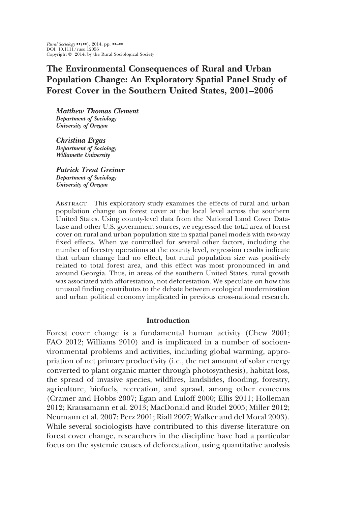# **The Environmental Consequences of Rural and Urban Population Change: An Exploratory Spatial Panel Study of Forest Cover in the Southern United States, 2001–2006**

*Matthew Thomas Clement Department of Sociology University of Oregon*

*Christina Ergas Department of Sociology Willamette University*

*Patrick Trent Greiner Department of Sociology University of Oregon*

Abstract This exploratory study examines the effects of rural and urban population change on forest cover at the local level across the southern United States. Using county-level data from the National Land Cover Database and other U.S. government sources, we regressed the total area of forest cover on rural and urban population size in spatial panel models with two-way fixed effects. When we controlled for several other factors, including the number of forestry operations at the county level, regression results indicate that urban change had no effect, but rural population size was positively related to total forest area, and this effect was most pronounced in and around Georgia. Thus, in areas of the southern United States, rural growth was associated with afforestation, not deforestation. We speculate on how this unusual finding contributes to the debate between ecological modernization and urban political economy implicated in previous cross-national research.

#### **Introduction**

Forest cover change is a fundamental human activity (Chew 2001; FAO 2012; Williams 2010) and is implicated in a number of socioenvironmental problems and activities, including global warming, appropriation of net primary productivity (i.e., the net amount of solar energy converted to plant organic matter through photosynthesis), habitat loss, the spread of invasive species, wildfires, landslides, flooding, forestry, agriculture, biofuels, recreation, and sprawl, among other concerns (Cramer and Hobbs 2007; Egan and Luloff 2000; Ellis 2011; Holleman 2012; Krausamann et al. 2013; MacDonald and Rudel 2005; Miller 2012; Neumann et al. 2007; Perz 2001; Riall 2007; Walker and del Moral 2003). While several sociologists have contributed to this diverse literature on forest cover change, researchers in the discipline have had a particular focus on the systemic causes of deforestation, using quantitative analysis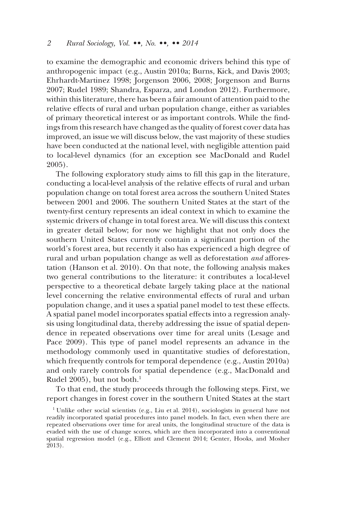to examine the demographic and economic drivers behind this type of anthropogenic impact (e.g., Austin 2010a; Burns, Kick, and Davis 2003; Ehrhardt-Martinez 1998; Jorgenson 2006, 2008; Jorgenson and Burns 2007; Rudel 1989; Shandra, Esparza, and London 2012). Furthermore, within this literature, there has been a fair amount of attention paid to the relative effects of rural and urban population change, either as variables of primary theoretical interest or as important controls. While the findings from this research have changed as the quality of forest cover data has improved, an issue we will discuss below, the vast majority of these studies have been conducted at the national level, with negligible attention paid to local-level dynamics (for an exception see MacDonald and Rudel 2005).

The following exploratory study aims to fill this gap in the literature, conducting a local-level analysis of the relative effects of rural and urban population change on total forest area across the southern United States between 2001 and 2006. The southern United States at the start of the twenty-first century represents an ideal context in which to examine the systemic drivers of change in total forest area. We will discuss this context in greater detail below; for now we highlight that not only does the southern United States currently contain a significant portion of the world's forest area, but recently it also has experienced a high degree of rural and urban population change as well as deforestation *and* afforestation (Hanson et al. 2010). On that note, the following analysis makes two general contributions to the literature: it contributes a local-level perspective to a theoretical debate largely taking place at the national level concerning the relative environmental effects of rural and urban population change, and it uses a spatial panel model to test these effects. A spatial panel model incorporates spatial effects into a regression analysis using longitudinal data, thereby addressing the issue of spatial dependence in repeated observations over time for areal units (Lesage and Pace 2009). This type of panel model represents an advance in the methodology commonly used in quantitative studies of deforestation, which frequently controls for temporal dependence (e.g., Austin 2010a) and only rarely controls for spatial dependence (e.g., MacDonald and Rudel  $2005$ ), but not both.<sup>1</sup>

To that end, the study proceeds through the following steps. First, we report changes in forest cover in the southern United States at the start

<sup>&</sup>lt;sup>1</sup> Unlike other social scientists (e.g., Liu et al. 2014), sociologists in general have not readily incorporated spatial procedures into panel models. In fact, even when there are repeated observations over time for areal units, the longitudinal structure of the data is evaded with the use of change scores, which are then incorporated into a conventional spatial regression model (e.g., Elliott and Clement 2014; Genter, Hooks, and Mosher 2013).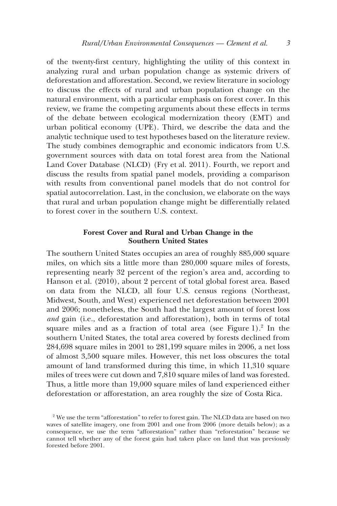of the twenty-first century, highlighting the utility of this context in analyzing rural and urban population change as systemic drivers of deforestation and afforestation. Second, we review literature in sociology to discuss the effects of rural and urban population change on the natural environment, with a particular emphasis on forest cover. In this review, we frame the competing arguments about these effects in terms of the debate between ecological modernization theory (EMT) and urban political economy (UPE). Third, we describe the data and the analytic technique used to test hypotheses based on the literature review. The study combines demographic and economic indicators from U.S. government sources with data on total forest area from the National Land Cover Database (NLCD) (Fry et al. 2011). Fourth, we report and discuss the results from spatial panel models, providing a comparison with results from conventional panel models that do not control for spatial autocorrelation. Last, in the conclusion, we elaborate on the ways that rural and urban population change might be differentially related to forest cover in the southern U.S. context.

# **Forest Cover and Rural and Urban Change in the Southern United States**

The southern United States occupies an area of roughly 885,000 square miles, on which sits a little more than 280,000 square miles of forests, representing nearly 32 percent of the region's area and, according to Hanson et al. (2010), about 2 percent of total global forest area. Based on data from the NLCD, all four U.S. census regions (Northeast, Midwest, South, and West) experienced net deforestation between 2001 and 2006; nonetheless, the South had the largest amount of forest loss *and* gain (i.e., deforestation and afforestation), both in terms of total square miles and as a fraction of total area (see Figure  $1$ ).<sup>2</sup> In the southern United States, the total area covered by forests declined from 284,698 square miles in 2001 to 281,199 square miles in 2006, a net loss of almost 3,500 square miles. However, this net loss obscures the total amount of land transformed during this time, in which 11,310 square miles of trees were cut down and 7,810 square miles of land was forested. Thus, a little more than 19,000 square miles of land experienced either deforestation or afforestation, an area roughly the size of Costa Rica.

<sup>&</sup>lt;sup>2</sup> We use the term "afforestation" to refer to forest gain. The NLCD data are based on two waves of satellite imagery, one from 2001 and one from 2006 (more details below); as a consequence, we use the term "afforestation" rather than "reforestation" because we cannot tell whether any of the forest gain had taken place on land that was previously forested before 2001.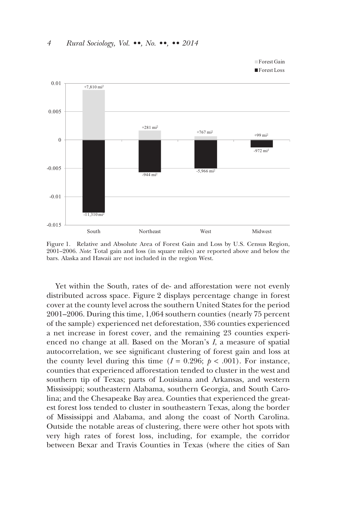

Forest Gain

Figure 1. Relative and Absolute Area of Forest Gain and Loss by U.S. Census Region, 2001–2006. *Note*: Total gain and loss (in square miles) are reported above and below the bars. Alaska and Hawaii are not included in the region West.

Yet within the South, rates of de- and afforestation were not evenly distributed across space. Figure 2 displays percentage change in forest cover at the county level across the southern United States for the period 2001–2006. During this time, 1,064 southern counties (nearly 75 percent of the sample) experienced net deforestation, 336 counties experienced a net increase in forest cover, and the remaining 23 counties experienced no change at all. Based on the Moran's *I*, a measure of spatial autocorrelation, we see significant clustering of forest gain and loss at the county level during this time  $(I = 0.296; p < .001)$ . For instance, counties that experienced afforestation tended to cluster in the west and southern tip of Texas; parts of Louisiana and Arkansas, and western Mississippi; southeastern Alabama, southern Georgia, and South Carolina; and the Chesapeake Bay area. Counties that experienced the greatest forest loss tended to cluster in southeastern Texas, along the border of Mississippi and Alabama, and along the coast of North Carolina. Outside the notable areas of clustering, there were other hot spots with very high rates of forest loss, including, for example, the corridor between Bexar and Travis Counties in Texas (where the cities of San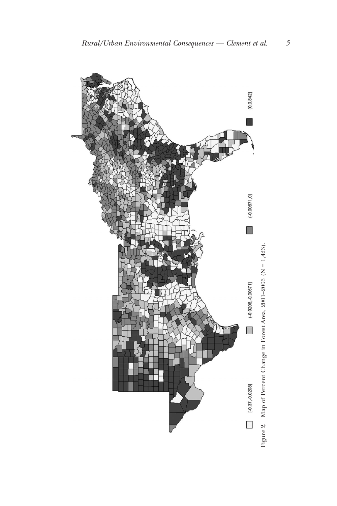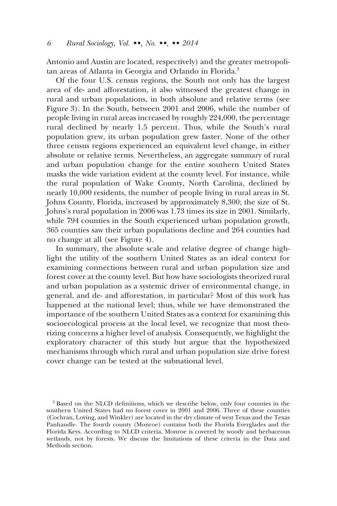Antonio and Austin are located, respectively) and the greater metropolitan areas of Atlanta in Georgia and Orlando in Florida.<sup>3</sup>

Of the four U.S. census regions, the South not only has the largest area of de- and afforestation, it also witnessed the greatest change in rural and urban populations, in both absolute and relative terms (see Figure 3). In the South, between 2001 and 2006, while the number of people living in rural areas increased by roughly 224,000, the percentage rural declined by nearly 1.5 percent. Thus, while the South's rural population grew, its urban population grew faster. None of the other three census regions experienced an equivalent level change, in either absolute or relative terms. Nevertheless, an aggregate summary of rural and urban population change for the entire southern United States masks the wide variation evident at the county level. For instance, while the rural population of Wake County, North Carolina, declined by nearly 10,000 residents, the number of people living in rural areas in St. Johns County, Florida, increased by approximately 8,300; the size of St. Johns's rural population in 2006 was 1.73 times its size in 2001. Similarly, while 794 counties in the South experienced urban population growth, 365 counties saw their urban populations decline and 264 counties had no change at all (see Figure 4).

In summary, the absolute scale and relative degree of change highlight the utility of the southern United States as an ideal context for examining connections between rural and urban population size and forest cover at the county level. But how have sociologists theorized rural and urban population as a systemic driver of environmental change, in general, and de- and afforestation, in particular? Most of this work has happened at the national level; thus, while we have demonstrated the importance of the southern United States as a context for examining this socioecological process at the local level, we recognize that most theorizing concerns a higher level of analysis. Consequently, we highlight the exploratory character of this study but argue that the hypothesized mechanisms through which rural and urban population size drive forest cover change can be tested at the subnational level.

<sup>3</sup> Based on the NLCD definitions, which we describe below, only four counties in the southern United States had no forest cover in 2001 and 2006. Three of these counties (Cochran, Loving, and Winkler) are located in the dry climate of west Texas and the Texas Panhandle. The fourth county (Monroe) contains both the Florida Everglades and the Florida Keys. According to NLCD criteria, Monroe is covered by woody and herbaceous wetlands, not by forests. We discuss the limitations of these criteria in the Data and Methods section.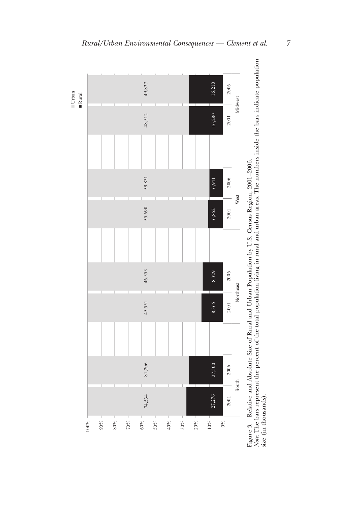

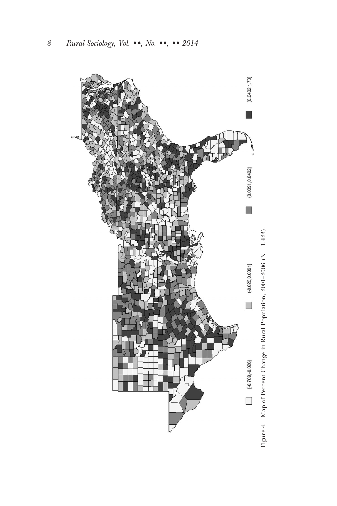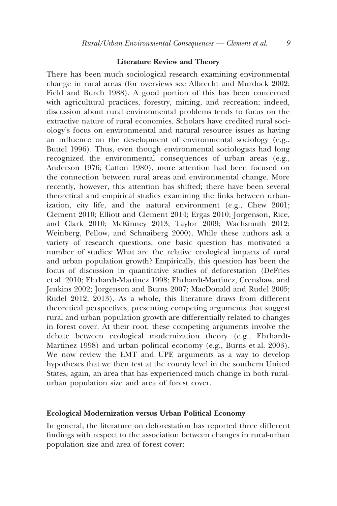## **Literature Review and Theory**

There has been much sociological research examining environmental change in rural areas (for overviews see Albrecht and Murdock 2002; Field and Burch 1988). A good portion of this has been concerned with agricultural practices, forestry, mining, and recreation; indeed, discussion about rural environmental problems tends to focus on the extractive nature of rural economies. Scholars have credited rural sociology's focus on environmental and natural resource issues as having an influence on the development of environmental sociology (e.g., Buttel 1996). Thus, even though environmental sociologists had long recognized the environmental consequences of urban areas (e.g., Anderson 1976; Catton 1980), more attention had been focused on the connection between rural areas and environmental change. More recently, however, this attention has shifted; there have been several theoretical and empirical studies examining the links between urbanization, city life, and the natural environment (e.g., Chew 2001; Clement 2010; Elliott and Clement 2014; Ergas 2010; Jorgenson, Rice, and Clark 2010; McKinney 2013; Taylor 2009; Wachsmuth 2012; Weinberg, Pellow, and Schnaiberg 2000). While these authors ask a variety of research questions, one basic question has motivated a number of studies: What are the relative ecological impacts of rural and urban population growth? Empirically, this question has been the focus of discussion in quantitative studies of deforestation (DeFries et al. 2010; Ehrhardt-Martinez 1998; Ehrhardt-Martinez, Crenshaw, and Jenkins 2002; Jorgenson and Burns 2007; MacDonald and Rudel 2005; Rudel 2012, 2013). As a whole, this literature draws from different theoretical perspectives, presenting competing arguments that suggest rural and urban population growth are differentially related to changes in forest cover. At their root, these competing arguments involve the debate between ecological modernization theory (e.g., Ehrhardt-Martinez 1998) and urban political economy (e.g., Burns et al. 2003). We now review the EMT and UPE arguments as a way to develop hypotheses that we then test at the county level in the southern United States, again, an area that has experienced much change in both ruralurban population size and area of forest cover.

#### **Ecological Modernization versus Urban Political Economy**

In general, the literature on deforestation has reported three different findings with respect to the association between changes in rural-urban population size and area of forest cover: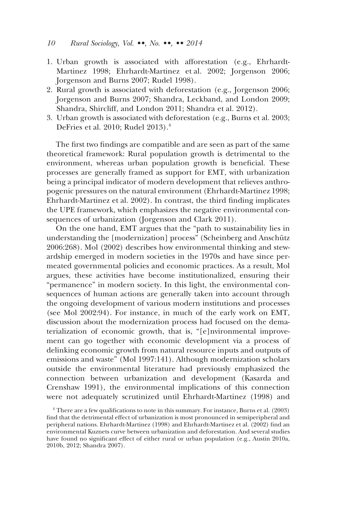#### *10 Rural Sociology, Vol. ••, No. ••, •• 2014*

- 1. Urban growth is associated with afforestation (e.g., Ehrhardt-Martinez 1998; Ehrhardt-Martinez et al. 2002; Jorgenson 2006; Jorgenson and Burns 2007; Rudel 1998).
- 2. Rural growth is associated with deforestation (e.g., Jorgenson 2006; Jorgenson and Burns 2007; Shandra, Leckband, and London 2009; Shandra, Shircliff, and London 2011; Shandra et al. 2012).
- 3. Urban growth is associated with deforestation (e.g., Burns et al. 2003; DeFries et al. 2010; Rudel 2013).4

The first two findings are compatible and are seen as part of the same theoretical framework: Rural population growth is detrimental to the environment, whereas urban population growth is beneficial. These processes are generally framed as support for EMT, with urbanization being a principal indicator of modern development that relieves anthropogenic pressures on the natural environment (Ehrhardt-Martinez 1998; Ehrhardt-Martinez et al. 2002). In contrast, the third finding implicates the UPE framework, which emphasizes the negative environmental consequences of urbanization (Jorgenson and Clark 2011).

On the one hand, EMT argues that the "path to sustainability lies in understanding the [modernization] process" (Scheinberg and Anschütz 2006:268). Mol (2002) describes how environmental thinking and stewardship emerged in modern societies in the 1970s and have since permeated governmental policies and economic practices. As a result, Mol argues, these activities have become institutionalized, ensuring their "permanence" in modern society. In this light, the environmental consequences of human actions are generally taken into account through the ongoing development of various modern institutions and processes (see Mol 2002:94). For instance, in much of the early work on EMT, discussion about the modernization process had focused on the dematerialization of economic growth, that is, "[e]nvironmental improvement can go together with economic development via a process of delinking economic growth from natural resource inputs and outputs of emissions and waste" (Mol 1997:141). Although modernization scholars outside the environmental literature had previously emphasized the connection between urbanization and development (Kasarda and Crenshaw 1991), the environmental implications of this connection were not adequately scrutinized until Ehrhardt-Martinez (1998) and

<sup>4</sup> There are a few qualifications to note in this summary. For instance, Burns et al. (2003) find that the detrimental effect of urbanization is most pronounced in semiperipheral and peripheral nations. Ehrhardt-Martinez (1998) and Ehrhardt-Martinez et al. (2002) find an environmental Kuznets curve between urbanization and deforestation. And several studies have found no significant effect of either rural or urban population (e.g., Austin 2010a, 2010b, 2012; Shandra 2007).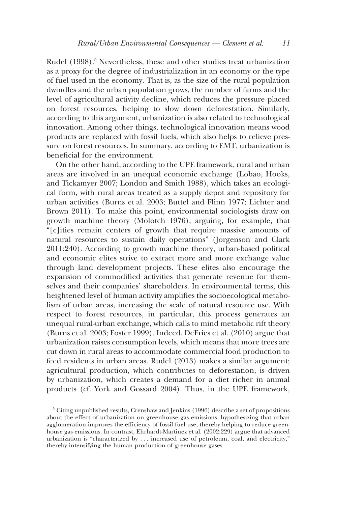Rudel (1998).<sup>5</sup> Nevertheless, these and other studies treat urbanization as a proxy for the degree of industrialization in an economy or the type of fuel used in the economy. That is, as the size of the rural population dwindles and the urban population grows, the number of farms and the level of agricultural activity decline, which reduces the pressure placed on forest resources, helping to slow down deforestation. Similarly, according to this argument, urbanization is also related to technological innovation. Among other things, technological innovation means wood products are replaced with fossil fuels, which also helps to relieve pressure on forest resources. In summary, according to EMT, urbanization is beneficial for the environment.

On the other hand, according to the UPE framework, rural and urban areas are involved in an unequal economic exchange (Lobao, Hooks, and Tickamyer 2007; London and Smith 1988), which takes an ecological form, with rural areas treated as a supply depot and repository for urban activities (Burns et al. 2003; Buttel and Flinn 1977; Lichter and Brown 2011). To make this point, environmental sociologists draw on growth machine theory (Molotch 1976), arguing, for example, that "[c]ities remain centers of growth that require massive amounts of natural resources to sustain daily operations" (Jorgenson and Clark 2011:240). According to growth machine theory, urban-based political and economic elites strive to extract more and more exchange value through land development projects. These elites also encourage the expansion of commodified activities that generate revenue for themselves and their companies' shareholders. In environmental terms, this heightened level of human activity amplifies the socioecological metabolism of urban areas, increasing the scale of natural resource use. With respect to forest resources, in particular, this process generates an unequal rural-urban exchange, which calls to mind metabolic rift theory (Burns et al. 2003; Foster 1999). Indeed, DeFries et al. (2010) argue that urbanization raises consumption levels, which means that more trees are cut down in rural areas to accommodate commercial food production to feed residents in urban areas. Rudel (2013) makes a similar argument; agricultural production, which contributes to deforestation, is driven by urbanization, which creates a demand for a diet richer in animal products (cf. York and Gossard 2004). Thus, in the UPE framework,

<sup>5</sup> Citing unpublished results, Crenshaw and Jenkins (1996) describe a set of propositions about the effect of urbanization on greenhouse gas emissions, hypothesizing that urban agglomeration improves the efficiency of fossil fuel use, thereby helping to reduce greenhouse gas emissions. In contrast, Ehrhardt-Martinez et al. (2002:229) argue that advanced urbanization is "characterized by . . . increased use of petroleum, coal, and electricity," thereby intensifying the human production of greenhouse gases.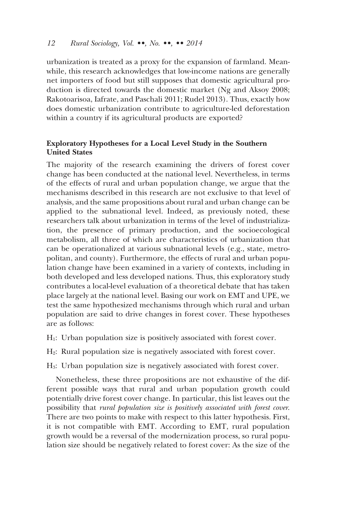urbanization is treated as a proxy for the expansion of farmland. Meanwhile, this research acknowledges that low-income nations are generally net importers of food but still supposes that domestic agricultural production is directed towards the domestic market (Ng and Aksoy 2008; Rakotoarisoa, Iafrate, and Paschali 2011; Rudel 2013). Thus, exactly how does domestic urbanization contribute to agriculture-led deforestation within a country if its agricultural products are exported?

# **Exploratory Hypotheses for a Local Level Study in the Southern United States**

The majority of the research examining the drivers of forest cover change has been conducted at the national level. Nevertheless, in terms of the effects of rural and urban population change, we argue that the mechanisms described in this research are not exclusive to that level of analysis, and the same propositions about rural and urban change can be applied to the subnational level. Indeed, as previously noted, these researchers talk about urbanization in terms of the level of industrialization, the presence of primary production, and the socioecological metabolism, all three of which are characteristics of urbanization that can be operationalized at various subnational levels (e.g., state, metropolitan, and county). Furthermore, the effects of rural and urban population change have been examined in a variety of contexts, including in both developed and less developed nations. Thus, this exploratory study contributes a local-level evaluation of a theoretical debate that has taken place largely at the national level. Basing our work on EMT and UPE, we test the same hypothesized mechanisms through which rural and urban population are said to drive changes in forest cover. These hypotheses are as follows:

H1: Urban population size is positively associated with forest cover.

 $H_2$ : Rural population size is negatively associated with forest cover.

H3: Urban population size is negatively associated with forest cover.

Nonetheless, these three propositions are not exhaustive of the different possible ways that rural and urban population growth could potentially drive forest cover change. In particular, this list leaves out the possibility that *rural population size is positively associated with forest cover*. There are two points to make with respect to this latter hypothesis. First, it is not compatible with EMT. According to EMT, rural population growth would be a reversal of the modernization process, so rural population size should be negatively related to forest cover: As the size of the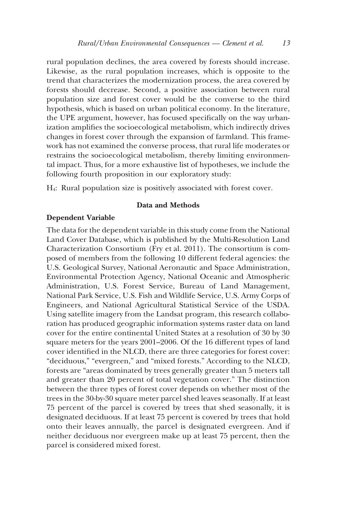rural population declines, the area covered by forests should increase. Likewise, as the rural population increases, which is opposite to the trend that characterizes the modernization process, the area covered by forests should decrease. Second, a positive association between rural population size and forest cover would be the converse to the third hypothesis, which is based on urban political economy. In the literature, the UPE argument, however, has focused specifically on the way urbanization amplifies the socioecological metabolism, which indirectly drives changes in forest cover through the expansion of farmland. This framework has not examined the converse process, that rural life moderates or restrains the socioecological metabolism, thereby limiting environmental impact. Thus, for a more exhaustive list of hypotheses, we include the following fourth proposition in our exploratory study:

H4: Rural population size is positively associated with forest cover.

# **Data and Methods**

#### **Dependent Variable**

The data for the dependent variable in this study come from the National Land Cover Database, which is published by the Multi-Resolution Land Characterization Consortium (Fry et al. 2011). The consortium is composed of members from the following 10 different federal agencies: the U.S. Geological Survey, National Aeronautic and Space Administration, Environmental Protection Agency, National Oceanic and Atmospheric Administration, U.S. Forest Service, Bureau of Land Management, National Park Service, U.S. Fish and Wildlife Service, U.S. Army Corps of Engineers, and National Agricultural Statistical Service of the USDA. Using satellite imagery from the Landsat program, this research collaboration has produced geographic information systems raster data on land cover for the entire continental United States at a resolution of 30 by 30 square meters for the years 2001–2006. Of the 16 different types of land cover identified in the NLCD, there are three categories for forest cover: "deciduous," "evergreen," and "mixed forests." According to the NLCD, forests are "areas dominated by trees generally greater than 5 meters tall and greater than 20 percent of total vegetation cover." The distinction between the three types of forest cover depends on whether most of the trees in the 30-by-30 square meter parcel shed leaves seasonally. If at least 75 percent of the parcel is covered by trees that shed seasonally, it is designated deciduous. If at least 75 percent is covered by trees that hold onto their leaves annually, the parcel is designated evergreen. And if neither deciduous nor evergreen make up at least 75 percent, then the parcel is considered mixed forest.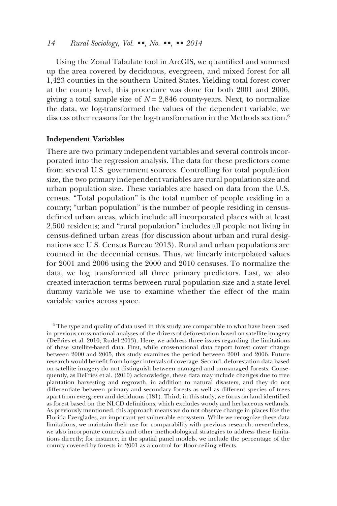Using the Zonal Tabulate tool in ArcGIS, we quantified and summed up the area covered by deciduous, evergreen, and mixed forest for all 1,423 counties in the southern United States. Yielding total forest cover at the county level, this procedure was done for both 2001 and 2006, giving a total sample size of  $N = 2,846$  county-years. Next, to normalize the data, we log-transformed the values of the dependent variable; we discuss other reasons for the log-transformation in the Methods section.<sup>6</sup>

## **Independent Variables**

There are two primary independent variables and several controls incorporated into the regression analysis. The data for these predictors come from several U.S. government sources. Controlling for total population size, the two primary independent variables are rural population size and urban population size. These variables are based on data from the U.S. census. "Total population" is the total number of people residing in a county; "urban population" is the number of people residing in censusdefined urban areas, which include all incorporated places with at least 2,500 residents; and "rural population" includes all people not living in census-defined urban areas (for discussion about urban and rural designations see U.S. Census Bureau 2013). Rural and urban populations are counted in the decennial census. Thus, we linearly interpolated values for 2001 and 2006 using the 2000 and 2010 censuses. To normalize the data, we log transformed all three primary predictors. Last, we also created interaction terms between rural population size and a state-level dummy variable we use to examine whether the effect of the main variable varies across space.

 $6$  The type and quality of data used in this study are comparable to what have been used in previous cross-national analyses of the drivers of deforestation based on satellite imagery (DeFries et al. 2010; Rudel 2013). Here, we address three issues regarding the limitations of these satellite-based data. First, while cross-national data report forest cover change between 2000 and 2005, this study examines the period between 2001 and 2006. Future research would benefit from longer intervals of coverage. Second, deforestation data based on satellite imagery do not distinguish between managed and unmanaged forests. Consequently, as DeFries et al. (2010) acknowledge, these data may include changes due to tree plantation harvesting and regrowth, in addition to natural disasters, and they do not differentiate between primary and secondary forests as well as different species of trees apart from evergreen and deciduous (181). Third, in this study, we focus on land identified as forest based on the NLCD definitions, which excludes woody and herbaceous wetlands. As previously mentioned, this approach means we do not observe change in places like the Florida Everglades, an important yet vulnerable ecosystem. While we recognize these data limitations, we maintain their use for comparability with previous research; nevertheless, we also incorporate controls and other methodological strategies to address these limitations directly; for instance, in the spatial panel models, we include the percentage of the county covered by forests in 2001 as a control for floor-ceiling effects.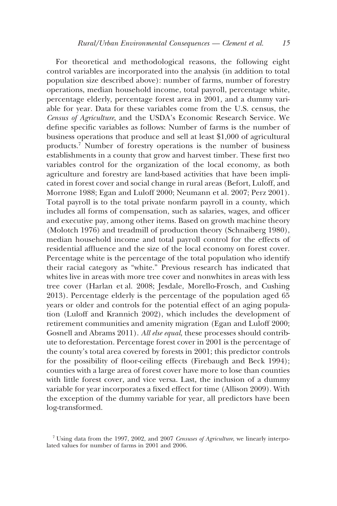For theoretical and methodological reasons, the following eight control variables are incorporated into the analysis (in addition to total population size described above): number of farms, number of forestry operations, median household income, total payroll, percentage white, percentage elderly, percentage forest area in 2001, and a dummy variable for year. Data for these variables come from the U.S. census, the *Census of Agriculture*, and the USDA's Economic Research Service. We define specific variables as follows: Number of farms is the number of business operations that produce and sell at least \$1,000 of agricultural products.7 Number of forestry operations is the number of business establishments in a county that grow and harvest timber. These first two variables control for the organization of the local economy, as both agriculture and forestry are land-based activities that have been implicated in forest cover and social change in rural areas (Befort, Luloff, and Morrone 1988; Egan and Luloff 2000; Neumann et al. 2007; Perz 2001). Total payroll is to the total private nonfarm payroll in a county, which includes all forms of compensation, such as salaries, wages, and officer and executive pay, among other items. Based on growth machine theory (Molotch 1976) and treadmill of production theory (Schnaiberg 1980), median household income and total payroll control for the effects of residential affluence and the size of the local economy on forest cover. Percentage white is the percentage of the total population who identify their racial category as "white." Previous research has indicated that whites live in areas with more tree cover and nonwhites in areas with less tree cover (Harlan et al. 2008; Jesdale, Morello-Frosch, and Cushing 2013). Percentage elderly is the percentage of the population aged 65 years or older and controls for the potential effect of an aging population (Luloff and Krannich 2002), which includes the development of retirement communities and amenity migration (Egan and Luloff 2000; Gosnell and Abrams 2011). *All else equal*, these processes should contribute to deforestation. Percentage forest cover in 2001 is the percentage of the county's total area covered by forests in 2001; this predictor controls for the possibility of floor-ceiling effects (Firebaugh and Beck 1994); counties with a large area of forest cover have more to lose than counties with little forest cover, and vice versa. Last, the inclusion of a dummy variable for year incorporates a fixed effect for time (Allison 2009). With the exception of the dummy variable for year, all predictors have been log-transformed.

<sup>7</sup> Using data from the 1997, 2002, and 2007 *Censuses of Agriculture*, we linearly interpolated values for number of farms in 2001 and 2006.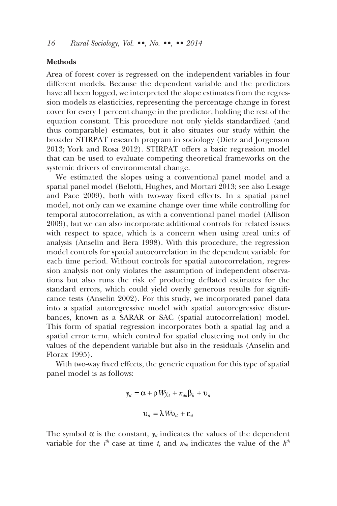# **Methods**

Area of forest cover is regressed on the independent variables in four different models. Because the dependent variable and the predictors have all been logged, we interpreted the slope estimates from the regression models as elasticities, representing the percentage change in forest cover for every 1 percent change in the predictor, holding the rest of the equation constant. This procedure not only yields standardized (and thus comparable) estimates, but it also situates our study within the broader STIRPAT research program in sociology (Dietz and Jorgenson 2013; York and Rosa 2012). STIRPAT offers a basic regression model that can be used to evaluate competing theoretical frameworks on the systemic drivers of environmental change.

We estimated the slopes using a conventional panel model and a spatial panel model (Belotti, Hughes, and Mortari 2013; see also Lesage and Pace 2009), both with two-way fixed effects. In a spatial panel model, not only can we examine change over time while controlling for temporal autocorrelation, as with a conventional panel model (Allison 2009), but we can also incorporate additional controls for related issues with respect to space, which is a concern when using areal units of analysis (Anselin and Bera 1998). With this procedure, the regression model controls for spatial autocorrelation in the dependent variable for each time period. Without controls for spatial autocorrelation, regression analysis not only violates the assumption of independent observations but also runs the risk of producing deflated estimates for the standard errors, which could yield overly generous results for significance tests (Anselin 2002). For this study, we incorporated panel data into a spatial autoregressive model with spatial autoregressive disturbances, known as a SARAR or SAC (spatial autocorrelation) model. This form of spatial regression incorporates both a spatial lag and a spatial error term, which control for spatial clustering not only in the values of the dependent variable but also in the residuals (Anselin and Florax 1995).

With two-way fixed effects, the generic equation for this type of spatial panel model is as follows:

$$
y_{it} = \alpha + \rho W y_{it} + x_{itk} \beta_k + \upsilon_{it}
$$

$$
\upsilon_{it} = \lambda W \upsilon_{it} + \varepsilon_{it}
$$

The symbol  $\alpha$  is the constant,  $y_{it}$  indicates the values of the dependent variable for the  $i^{th}$  case at time *t*, and  $x_{itk}$  indicates the value of the  $k^{th}$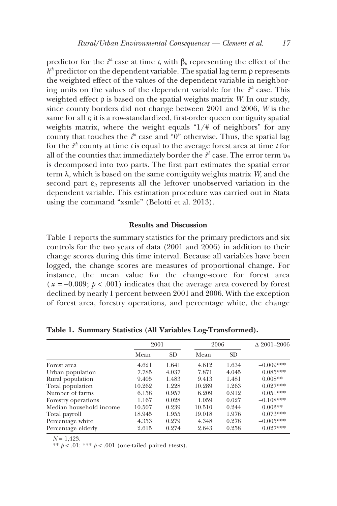predictor for the  $i<sup>th</sup>$  case at time *t*, with  $β<sub>k</sub>$  representing the effect of the  $k<sup>th</sup>$  predictor on the dependent variable. The spatial lag term  $\rho$  represents the weighted effect of the values of the dependent variable in neighboring units on the values of the dependent variable for the  $i<sup>th</sup>$  case. This weighted effect ρ is based on the spatial weights matrix *W*. In our study, since county borders did not change between 2001 and 2006, *W* is the same for all *t*; it is a row-standardized, first-order queen contiguity spatial weights matrix, where the weight equals "1/# of neighbors" for any county that touches the  $i^{\text{th}}$  case and "0" otherwise. Thus, the spatial lag for the  $i^{\text{th}}$  county at time  $t$  is equal to the average forest area at time  $t$  for all of the counties that immediately border the  $i^{\textit{th}}$  case. The error term  $\bm{\upsilon}_{\textit{it}}$ is decomposed into two parts. The first part estimates the spatial error term λ, which is based on the same contiguity weights matrix *W*, and the second part  $\varepsilon_{it}$  represents all the leftover unobserved variation in the dependent variable. This estimation procedure was carried out in Stata using the command "xsmle" (Belotti et al. 2013).

# **Results and Discussion**

Table 1 reports the summary statistics for the primary predictors and six controls for the two years of data (2001 and 2006) in addition to their change scores during this time interval. Because all variables have been logged, the change scores are measures of proportional change. For instance, the mean value for the change-score for forest area  $(\bar{x} = -0.009; \ p < .001)$  indicates that the average area covered by forest declined by nearly 1 percent between 2001 and 2006. With the exception of forest area, forestry operations, and percentage white, the change

|                         | 2001   |       | 2006   |       | $\Delta$ 2001-2006 |
|-------------------------|--------|-------|--------|-------|--------------------|
|                         | Mean   | SD.   | Mean   | SD.   |                    |
| Forest area             | 4.621  | 1.641 | 4.612  | 1.634 | $-0.009***$        |
| Urban population        | 7.785  | 4.037 | 7.871  | 4.045 | $0.085***$         |
| Rural population        | 9.405  | 1.483 | 9.413  | 1.481 | $0.008**$          |
| Total population        | 10.262 | 1.228 | 10.289 | 1.263 | $0.027***$         |
| Number of farms         | 6.158  | 0.957 | 6.209  | 0.912 | $0.051***$         |
| Forestry operations     | 1.167  | 0.028 | 1.059  | 0.027 | $-0.108***$        |
| Median household income | 10.507 | 0.239 | 10.510 | 0.244 | $0.003**$          |
| Total payroll           | 18.945 | 1.955 | 19.018 | 1.976 | $0.073***$         |
| Percentage white        | 4.353  | 0.279 | 4.348  | 0.278 | $-0.005***$        |
| Percentage elderly      | 2.615  | 0.274 | 2.643  | 0.258 | $0.027***$         |

**Table 1. Summary Statistics (All Variables Log-Transformed).**

*N* = 1,423.

\*\*  $p < .01$ ; \*\*\*  $p < .001$  (one-tailed paired *t*-tests).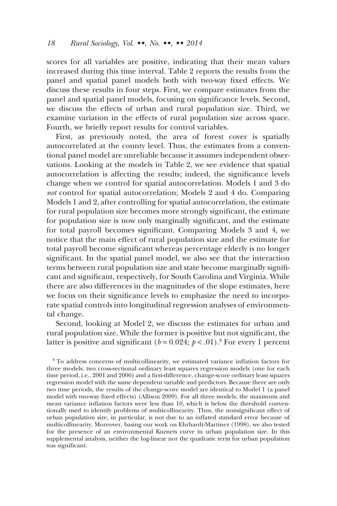scores for all variables are positive, indicating that their mean values increased during this time interval. Table 2 reports the results from the panel and spatial panel models both with two-way fixed effects. We discuss these results in four steps. First, we compare estimates from the panel and spatial panel models, focusing on significance levels. Second, we discuss the effects of urban and rural population size. Third, we examine variation in the effects of rural population size across space. Fourth, we briefly report results for control variables.

First, as previously noted, the area of forest cover is spatially autocorrelated at the county level. Thus, the estimates from a conventional panel model are unreliable because it assumes independent observations. Looking at the models in Table 2, we see evidence that spatial autocorrelation is affecting the results; indeed, the significance levels change when we control for spatial autocorrelation. Models 1 and 3 do *not* control for spatial autocorrelation; Models 2 and 4 do. Comparing Models 1 and 2, after controlling for spatial autocorrelation, the estimate for rural population size becomes more strongly significant, the estimate for population size is now only marginally significant, and the estimate for total payroll becomes significant. Comparing Models 3 and 4, we notice that the main effect of rural population size and the estimate for total payroll become significant whereas percentage elderly is no longer significant. In the spatial panel model, we also see that the interaction terms between rural population size and state become marginally significant and significant, respectively, for South Carolina and Virginia. While there are also differences in the magnitudes of the slope estimates, here we focus on their significance levels to emphasize the need to incorporate spatial controls into longitudinal regression analyses of environmental change.

Second, looking at Model 2, we discuss the estimates for urban and rural population size. While the former is positive but not significant, the latter is positive and significant ( $b = 0.024$ ;  $p < .01$ ).<sup>8</sup> For every 1 percent

<sup>8</sup> To address concerns of multicollinearity, we estimated variance inflation factors for three models: two cross-sectional ordinary least squares regression models (one for each time period, i.e., 2001 and 2006) and a first-difference, change-score ordinary least squares regression model with the same dependent variable and predictors. Because there are only two time periods, the results of the change-score model are identical to Model 1 (a panel model with two-way fixed effects) (Allison 2009). For all three models, the maximum and mean variance inflation factors were less than 10, which is below the threshold conventionally used to identify problems of multicollinearity. Thus, the nonsignificant effect of urban population size, in particular, is not due to an inflated standard error because of multicollinearity. Moreover, basing our work on Ehrhardt-Martinez (1998), we also tested for the presence of an environmental Kuznets curve in urban population size. In this supplemental analysis, neither the log-linear nor the quadratic term for urban population was significant.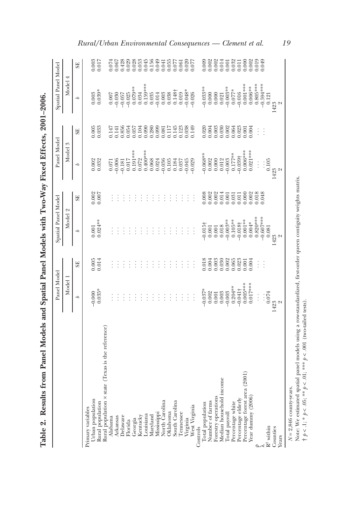| 500<br>$\overline{a}$ |
|-----------------------|
| i                     |
|                       |
|                       |
|                       |
|                       |
|                       |
| I                     |
|                       |
|                       |
| ļ                     |
|                       |
| I                     |
| i<br>l                |

|                                                   | Panel Model          |                    | Spatial Panel Model                                                                  |                    | Panel Model                                                                  |                                                                       | Spatial Panel Model                                                                                                                                                                                                                                                                                                                                                                                       |                                                         |
|---------------------------------------------------|----------------------|--------------------|--------------------------------------------------------------------------------------|--------------------|------------------------------------------------------------------------------|-----------------------------------------------------------------------|-----------------------------------------------------------------------------------------------------------------------------------------------------------------------------------------------------------------------------------------------------------------------------------------------------------------------------------------------------------------------------------------------------------|---------------------------------------------------------|
|                                                   | Model 1              |                    | Model 2                                                                              |                    | Model 3                                                                      |                                                                       | Model 4                                                                                                                                                                                                                                                                                                                                                                                                   |                                                         |
|                                                   | b                    | <b>SE</b>          | b                                                                                    | $\mathbb{S}$       | d                                                                            | <b>SE</b>                                                             | b                                                                                                                                                                                                                                                                                                                                                                                                         | <b>SE</b>                                               |
| Primary variables                                 |                      |                    |                                                                                      |                    |                                                                              |                                                                       |                                                                                                                                                                                                                                                                                                                                                                                                           |                                                         |
| Urban population                                  |                      | 0.005              | 0.001                                                                                | 0.002              | 0.002                                                                        | 0.005                                                                 | 0.003                                                                                                                                                                                                                                                                                                                                                                                                     | 0.003                                                   |
| Rural population                                  | $-0.000$<br>$0.035*$ | 0.014              | $0.024***$                                                                           | 0.007              | 0.032                                                                        | 0.033                                                                 | $0.039*$                                                                                                                                                                                                                                                                                                                                                                                                  | 0.017                                                   |
| Rural population × state (Texas is the reference) |                      |                    |                                                                                      |                    |                                                                              |                                                                       |                                                                                                                                                                                                                                                                                                                                                                                                           |                                                         |
| Alabama                                           | $\vdots$             | $\vdots$           | $\vdots$                                                                             |                    | $0.07$<br>0.006<br>0.006                                                     | 147                                                                   |                                                                                                                                                                                                                                                                                                                                                                                                           | 0.074                                                   |
| Arkansas                                          | $\vdots$             | $\vdots$           | $\vdots$                                                                             |                    |                                                                              | 0.141                                                                 |                                                                                                                                                                                                                                                                                                                                                                                                           | 0.067                                                   |
| Delaware                                          | $\vdots$             | $\ddot{\cdot}$     | $\vdots$                                                                             |                    |                                                                              | 0.856                                                                 | $\begin{array}{l} \texttt{C50C} \\ \texttt{O31D} \\ \texttt{O42D} \\ \texttt{O53D} \\ \texttt{O63D} \\ \texttt{O7D} \\ \texttt{O8D} \\ \texttt{O8D} \\ \texttt{O9D} \\ \texttt{O9D} \\ \texttt{O9D} \\ \texttt{O9D} \\ \texttt{O9D} \\ \texttt{O9D} \\ \texttt{O9D} \\ \texttt{O9D} \\ \texttt{O9D} \\ \texttt{O9D} \\ \texttt{O9D} \\ \texttt{O9D} \\ \texttt{O9D} \\ \texttt{O9D} \\ \texttt{O9D} \\ \$ | 0.428                                                   |
| Florida                                           | $\vdots$             |                    | $\vdots$                                                                             |                    | 0.017                                                                        | 0.054                                                                 |                                                                                                                                                                                                                                                                                                                                                                                                           |                                                         |
| Georgia                                           |                      |                    | $\vdots$                                                                             |                    | $0.191***$                                                                   | 0.057                                                                 |                                                                                                                                                                                                                                                                                                                                                                                                           |                                                         |
| Kentucky                                          |                      |                    |                                                                                      |                    | $\begin{array}{c} 0.072 \\ 0.400*** \\ 0.068 \\ 0.024 \\ -0.036 \end{array}$ | $\begin{array}{c} 1000 \\ 1000 \\ 0000 \\ 0000 \\ \hline \end{array}$ |                                                                                                                                                                                                                                                                                                                                                                                                           | 0.029<br>0.033<br>0.045<br>0.049<br>0.041               |
| Louisiana                                         |                      |                    | $\vdots$                                                                             |                    |                                                                              |                                                                       |                                                                                                                                                                                                                                                                                                                                                                                                           |                                                         |
| Maryland                                          | $\vdots$             | ÷                  | $\vdots$                                                                             | $\vdots$           |                                                                              |                                                                       |                                                                                                                                                                                                                                                                                                                                                                                                           |                                                         |
| Mississippi                                       | $\vdots$             |                    | $\vdots$                                                                             | $\vdots$           |                                                                              |                                                                       |                                                                                                                                                                                                                                                                                                                                                                                                           |                                                         |
| North Carolina                                    |                      |                    | $\vdots$                                                                             | $\vdots$           |                                                                              |                                                                       |                                                                                                                                                                                                                                                                                                                                                                                                           |                                                         |
| Oklahoma                                          |                      |                    |                                                                                      |                    |                                                                              | 0.117                                                                 |                                                                                                                                                                                                                                                                                                                                                                                                           | 0.055<br>0.077                                          |
| South Carolina                                    | $\vdots$             | $\vdots$           | $\vdots$                                                                             | $\vdots$           | 5184<br>51845<br>5000000                                                     | 0.145                                                                 |                                                                                                                                                                                                                                                                                                                                                                                                           |                                                         |
| <b><i><u>Cennessee</u></i></b>                    | $\vdots$             | $\vdots$           | $\vdots$                                                                             | $\vdots$           |                                                                              | 0.123                                                                 |                                                                                                                                                                                                                                                                                                                                                                                                           |                                                         |
| Virginia<br>West Virginia                         | $\vdots$             | $\vdots$           | $\vdots$                                                                             | $\vdots$           |                                                                              |                                                                       |                                                                                                                                                                                                                                                                                                                                                                                                           | 0.061<br>0.020<br>0.077                                 |
|                                                   | $\vdots$             | $\vdots$           | $\vdots$                                                                             | $\vdots$           |                                                                              | 0.149                                                                 |                                                                                                                                                                                                                                                                                                                                                                                                           |                                                         |
| Controls                                          |                      |                    |                                                                                      |                    |                                                                              |                                                                       |                                                                                                                                                                                                                                                                                                                                                                                                           |                                                         |
| Total population                                  | $-0.037*$            | 0.018              | $-0.015\dagger$                                                                      | 0.008              | $-0.068**$                                                                   | 0.020                                                                 | $\begin{array}{l} 0.033**\\ -0.033**\\ -0.000\\ 0.001\\ -0.003**\\ 0.077*\\ 0.077* \end{array}$                                                                                                                                                                                                                                                                                                           | 000(                                                    |
| Number of farms                                   | 0.002                | 0.004              |                                                                                      | 0.002              | 0.002                                                                        | 0.004                                                                 |                                                                                                                                                                                                                                                                                                                                                                                                           |                                                         |
| Forestry operations                               | $\rm 0.001$          | $0.003$<br>$0.030$ |                                                                                      | $0.002\,$          | 0.000                                                                        | $0.003$<br>$0.030$                                                    |                                                                                                                                                                                                                                                                                                                                                                                                           |                                                         |
| Median household income                           | 0.003                |                    |                                                                                      | 0.014              | $0.012$<br>$0.003$                                                           |                                                                       |                                                                                                                                                                                                                                                                                                                                                                                                           |                                                         |
| Total payroll                                     | $-0.003$             | 0.002              | $\begin{array}{c} 0.001 \\ 0.001 \\ 0.018 \\ 0.003^{***} \\ 0.105^{***} \end{array}$ | $0.001$<br>$0.031$ |                                                                              | 0.002<br>0.064                                                        |                                                                                                                                                                                                                                                                                                                                                                                                           | $0.002$<br>$0.0014$<br>$0.0013$<br>$0.0032$<br>$0.0032$ |
| Percentage white                                  | $0.204***$           | 0.065              |                                                                                      |                    | $0.177***$                                                                   |                                                                       |                                                                                                                                                                                                                                                                                                                                                                                                           |                                                         |
| Percentage elderly                                | $-0.041\dagger$      | 0.023              | $-0.018\dagger$                                                                      | 0.011              | $-0.039\dagger$                                                              | 0.023                                                                 | $-0.016$                                                                                                                                                                                                                                                                                                                                                                                                  |                                                         |
| Percentage forest area (2001                      | $0.005***$           | 0.001              | $0.001**$                                                                            | 0.000              | $0.006***$                                                                   | 0.001                                                                 | $0.001***$                                                                                                                                                                                                                                                                                                                                                                                                | 0.000                                                   |
| Year dummy (2006                                  | $0.017***$           | 0.004              | $0.004*$                                                                             | 0.002              | $0.021***$                                                                   | 0.004                                                                 |                                                                                                                                                                                                                                                                                                                                                                                                           | 0.002                                                   |
|                                                   | $\vdots$             | $\vdots$           | $0.820***$<br>-0.607***                                                              | 0.018              | $\vdots$                                                                     | $\vdots$                                                              | $\begin{array}{c} 0.006^{***} \\ 0.805^{***} \\ -0.594^{***} \\ 0.121 \end{array}$                                                                                                                                                                                                                                                                                                                        | 0.019<br>0.049                                          |
|                                                   |                      | $\vdots$           |                                                                                      |                    |                                                                              | $\vdots$                                                              |                                                                                                                                                                                                                                                                                                                                                                                                           |                                                         |
| $R^2$ within                                      | 0.074                |                    | 0.081                                                                                |                    | 0.105                                                                        |                                                                       |                                                                                                                                                                                                                                                                                                                                                                                                           |                                                         |
| Counties<br>Years                                 | 423                  |                    |                                                                                      |                    |                                                                              |                                                                       |                                                                                                                                                                                                                                                                                                                                                                                                           |                                                         |
|                                                   |                      |                    |                                                                                      |                    |                                                                              |                                                                       |                                                                                                                                                                                                                                                                                                                                                                                                           |                                                         |

 $N = 2,846$  county-years.

*N*†Note: We estimated spatial panel models using a row-standardized, first-order queen contiguity weights matrix. *f*  $p < 0.1$ ; \*  $p < 0.05$ ; \*\*  $p < 0.01$ ; \*\*\*  $p < 0.001$  (two-tailed tests).

*Rural/Urban Environmental Consequences — Clement et al. 19*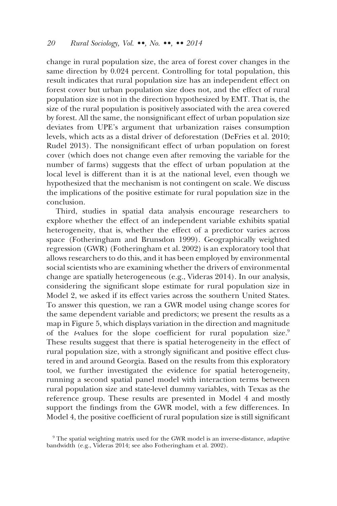change in rural population size, the area of forest cover changes in the same direction by 0.024 percent. Controlling for total population, this result indicates that rural population size has an independent effect on forest cover but urban population size does not, and the effect of rural population size is not in the direction hypothesized by EMT. That is, the size of the rural population is positively associated with the area covered by forest. All the same, the nonsignificant effect of urban population size deviates from UPE's argument that urbanization raises consumption levels, which acts as a distal driver of deforestation (DeFries et al. 2010; Rudel 2013). The nonsignificant effect of urban population on forest cover (which does not change even after removing the variable for the number of farms) suggests that the effect of urban population at the local level is different than it is at the national level, even though we hypothesized that the mechanism is not contingent on scale. We discuss the implications of the positive estimate for rural population size in the conclusion.

Third, studies in spatial data analysis encourage researchers to explore whether the effect of an independent variable exhibits spatial heterogeneity, that is, whether the effect of a predictor varies across space (Fotheringham and Brunsdon 1999). Geographically weighted regression (GWR) (Fotheringham et al. 2002) is an exploratory tool that allows researchers to do this, and it has been employed by environmental social scientists who are examining whether the drivers of environmental change are spatially heterogeneous (e.g., Videras 2014). In our analysis, considering the significant slope estimate for rural population size in Model 2, we asked if its effect varies across the southern United States. To answer this question, we ran a GWR model using change scores for the same dependent variable and predictors; we present the results as a map in Figure 5, which displays variation in the direction and magnitude of the *t*-values for the slope coefficient for rural population size.<sup>9</sup> These results suggest that there is spatial heterogeneity in the effect of rural population size, with a strongly significant and positive effect clustered in and around Georgia. Based on the results from this exploratory tool, we further investigated the evidence for spatial heterogeneity, running a second spatial panel model with interaction terms between rural population size and state-level dummy variables, with Texas as the reference group. These results are presented in Model 4 and mostly support the findings from the GWR model, with a few differences. In Model 4, the positive coefficient of rural population size is still significant

<sup>9</sup> The spatial weighting matrix used for the GWR model is an inverse-distance, adaptive bandwidth (e.g., Videras 2014; see also Fotheringham et al. 2002).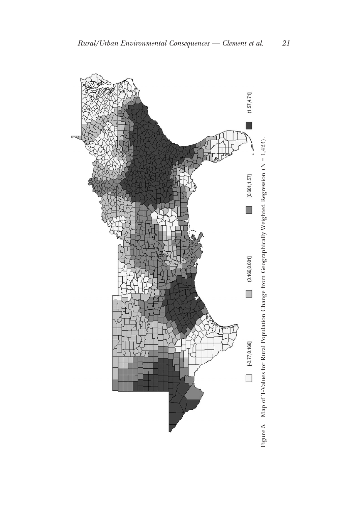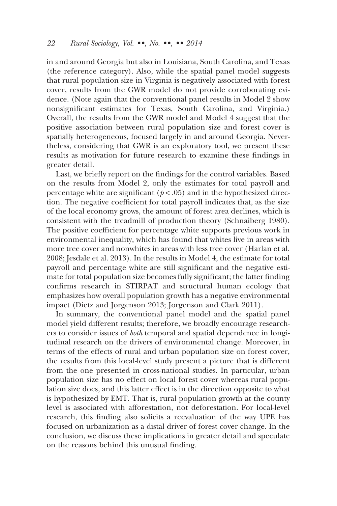in and around Georgia but also in Louisiana, South Carolina, and Texas (the reference category). Also, while the spatial panel model suggests that rural population size in Virginia is negatively associated with forest cover, results from the GWR model do not provide corroborating evidence. (Note again that the conventional panel results in Model 2 show nonsignificant estimates for Texas, South Carolina, and Virginia.) Overall, the results from the GWR model and Model 4 suggest that the positive association between rural population size and forest cover is spatially heterogeneous, focused largely in and around Georgia. Nevertheless, considering that GWR is an exploratory tool, we present these results as motivation for future research to examine these findings in greater detail.

Last, we briefly report on the findings for the control variables. Based on the results from Model 2, only the estimates for total payroll and percentage white are significant  $(p < .05)$  and in the hypothesized direction. The negative coefficient for total payroll indicates that, as the size of the local economy grows, the amount of forest area declines, which is consistent with the treadmill of production theory (Schnaiberg 1980). The positive coefficient for percentage white supports previous work in environmental inequality, which has found that whites live in areas with more tree cover and nonwhites in areas with less tree cover (Harlan et al. 2008; Jesdale et al. 2013). In the results in Model 4, the estimate for total payroll and percentage white are still significant and the negative estimate for total population size becomes fully significant; the latter finding confirms research in STIRPAT and structural human ecology that emphasizes how overall population growth has a negative environmental impact (Dietz and Jorgenson 2013; Jorgenson and Clark 2011).

In summary, the conventional panel model and the spatial panel model yield different results; therefore, we broadly encourage researchers to consider issues of *both* temporal and spatial dependence in longitudinal research on the drivers of environmental change. Moreover, in terms of the effects of rural and urban population size on forest cover, the results from this local-level study present a picture that is different from the one presented in cross-national studies. In particular, urban population size has no effect on local forest cover whereas rural population size does, and this latter effect is in the direction opposite to what is hypothesized by EMT. That is, rural population growth at the county level is associated with afforestation, not deforestation. For local-level research, this finding also solicits a reevaluation of the way UPE has focused on urbanization as a distal driver of forest cover change. In the conclusion, we discuss these implications in greater detail and speculate on the reasons behind this unusual finding.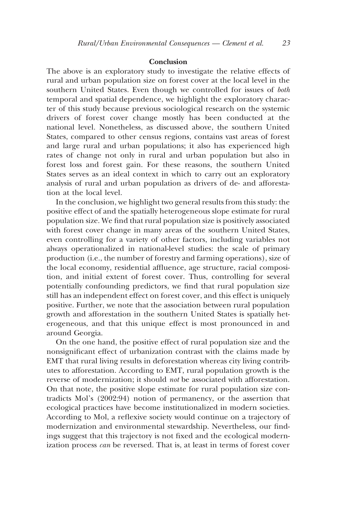#### **Conclusion**

The above is an exploratory study to investigate the relative effects of rural and urban population size on forest cover at the local level in the southern United States. Even though we controlled for issues of *both* temporal and spatial dependence, we highlight the exploratory character of this study because previous sociological research on the systemic drivers of forest cover change mostly has been conducted at the national level. Nonetheless, as discussed above, the southern United States, compared to other census regions, contains vast areas of forest and large rural and urban populations; it also has experienced high rates of change not only in rural and urban population but also in forest loss and forest gain. For these reasons, the southern United States serves as an ideal context in which to carry out an exploratory analysis of rural and urban population as drivers of de- and afforestation at the local level.

In the conclusion, we highlight two general results from this study: the positive effect of and the spatially heterogeneous slope estimate for rural population size. We find that rural population size is positively associated with forest cover change in many areas of the southern United States, even controlling for a variety of other factors, including variables not always operationalized in national-level studies: the scale of primary production (i.e., the number of forestry and farming operations), size of the local economy, residential affluence, age structure, racial composition, and initial extent of forest cover. Thus, controlling for several potentially confounding predictors, we find that rural population size still has an independent effect on forest cover, and this effect is uniquely positive. Further, we note that the association between rural population growth and afforestation in the southern United States is spatially heterogeneous, and that this unique effect is most pronounced in and around Georgia.

On the one hand, the positive effect of rural population size and the nonsignificant effect of urbanization contrast with the claims made by EMT that rural living results in deforestation whereas city living contributes to afforestation. According to EMT, rural population growth is the reverse of modernization; it should *not* be associated with afforestation. On that note, the positive slope estimate for rural population size contradicts Mol's (2002:94) notion of permanency, or the assertion that ecological practices have become institutionalized in modern societies. According to Mol, a reflexive society would continue on a trajectory of modernization and environmental stewardship. Nevertheless, our findings suggest that this trajectory is not fixed and the ecological modernization process *can* be reversed. That is, at least in terms of forest cover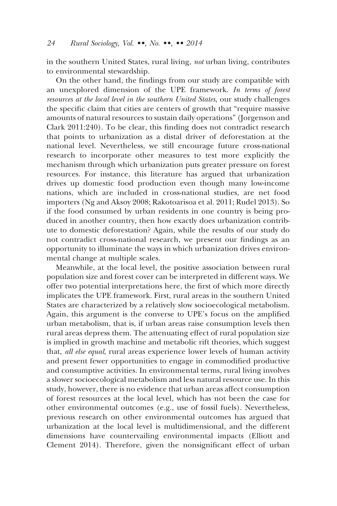in the southern United States, rural living, *not* urban living, contributes to environmental stewardship.

On the other hand, the findings from our study are compatible with an unexplored dimension of the UPE framework. *In terms of forest resources at the local level in the southern United States*, our study challenges the specific claim that cities are centers of growth that "require massive amounts of natural resources to sustain daily operations" (Jorgenson and Clark 2011:240). To be clear, this finding does not contradict research that points to urbanization as a distal driver of deforestation at the national level. Nevertheless, we still encourage future cross-national research to incorporate other measures to test more explicitly the mechanism through which urbanization puts greater pressure on forest resources. For instance, this literature has argued that urbanization drives up domestic food production even though many low-income nations, which are included in cross-national studies, are net food importers (Ng and Aksoy 2008; Rakotoarisoa et al. 2011; Rudel 2013). So if the food consumed by urban residents in one country is being produced in another country, then how exactly does urbanization contribute to domestic deforestation? Again, while the results of our study do not contradict cross-national research, we present our findings as an opportunity to illuminate the ways in which urbanization drives environmental change at multiple scales.

Meanwhile, at the local level, the positive association between rural population size and forest cover can be interpreted in different ways. We offer two potential interpretations here, the first of which more directly implicates the UPE framework. First, rural areas in the southern United States are characterized by a relatively slow socioecological metabolism. Again, this argument is the converse to UPE's focus on the amplified urban metabolism, that is, if urban areas raise consumption levels then rural areas depress them. The attenuating effect of rural population size is implied in growth machine and metabolic rift theories, which suggest that, *all else equal*, rural areas experience lower levels of human activity and present fewer opportunities to engage in commodified productive and consumptive activities. In environmental terms, rural living involves a slower socioecological metabolism and less natural resource use. In this study, however, there is no evidence that urban areas affect consumption of forest resources at the local level, which has not been the case for other environmental outcomes (e.g., use of fossil fuels). Nevertheless, previous research on other environmental outcomes has argued that urbanization at the local level is multidimensional, and the different dimensions have countervailing environmental impacts (Elliott and Clement 2014). Therefore, given the nonsignificant effect of urban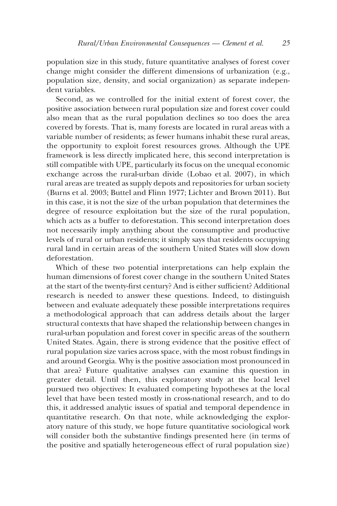population size in this study, future quantitative analyses of forest cover change might consider the different dimensions of urbanization (e.g., population size, density, and social organization) as separate independent variables.

Second, as we controlled for the initial extent of forest cover, the positive association between rural population size and forest cover could also mean that as the rural population declines so too does the area covered by forests. That is, many forests are located in rural areas with a variable number of residents; as fewer humans inhabit these rural areas, the opportunity to exploit forest resources grows. Although the UPE framework is less directly implicated here, this second interpretation is still compatible with UPE, particularly its focus on the unequal economic exchange across the rural-urban divide (Lobao et al. 2007), in which rural areas are treated as supply depots and repositories for urban society (Burns et al. 2003; Buttel and Flinn 1977; Lichter and Brown 2011). But in this case, it is not the size of the urban population that determines the degree of resource exploitation but the size of the rural population, which acts as a buffer to deforestation. This second interpretation does not necessarily imply anything about the consumptive and productive levels of rural or urban residents; it simply says that residents occupying rural land in certain areas of the southern United States will slow down deforestation.

Which of these two potential interpretations can help explain the human dimensions of forest cover change in the southern United States at the start of the twenty-first century? And is either sufficient? Additional research is needed to answer these questions. Indeed, to distinguish between and evaluate adequately these possible interpretations requires a methodological approach that can address details about the larger structural contexts that have shaped the relationship between changes in rural-urban population and forest cover in specific areas of the southern United States. Again, there is strong evidence that the positive effect of rural population size varies across space, with the most robust findings in and around Georgia. Why is the positive association most pronounced in that area? Future qualitative analyses can examine this question in greater detail. Until then, this exploratory study at the local level pursued two objectives: It evaluated competing hypotheses at the local level that have been tested mostly in cross-national research, and to do this, it addressed analytic issues of spatial and temporal dependence in quantitative research. On that note, while acknowledging the exploratory nature of this study, we hope future quantitative sociological work will consider both the substantive findings presented here (in terms of the positive and spatially heterogeneous effect of rural population size)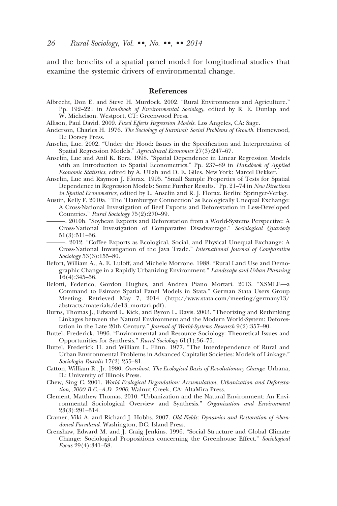and the benefits of a spatial panel model for longitudinal studies that examine the systemic drivers of environmental change.

#### **References**

- Albrecht, Don E. and Steve H. Murdock. 2002. "Rural Environments and Agriculture." Pp. 192–221 in *Handbook of Environmental Sociology*, edited by R. E. Dunlap and W. Michelson. Westport, CT: Greenwood Press.
- Allison, Paul David. 2009. *Fixed Effects Regression Models*. Los Angeles, CA: Sage.
- Anderson, Charles H. 1976. *The Sociology of Survival: Social Problems of Growth*. Homewood, IL: Dorsey Press.
- Anselin, Luc. 2002. "Under the Hood: Issues in the Specification and Interpretation of Spatial Regression Models." *Agricultural Economics* 27(3):247–67.
- Anselin, Luc and Anil K. Bera. 1998. "Spatial Dependence in Linear Regression Models with an Introduction to Spatial Econometrics." Pp. 237–89 in *Handbook of Applied Economic Statistics*, edited by A. Ullah and D. E. Giles. New York: Marcel Dekker.
- Anselin, Luc and Raymon J. Florax. 1995. "Small Sample Properties of Tests for Spatial Dependence in Regression Models: Some Further Results." Pp. 21–74 in *New Directions in Spatial Econometrics*, edited by L. Anselin and R. J. Florax. Berlin: Springer-Verlag.
- Austin, Kelly F. 2010a. "The 'Hamburger Connection' as Ecologically Unequal Exchange: A Cross-National Investigation of Beef Exports and Deforestation in Less-Developed Countries." *Rural Sociology* 75(2):270–99.
	- ———. 2010b. "Soybean Exports and Deforestation from a World-Systems Perspective: A Cross-National Investigation of Comparative Disadvantage." *Sociological Quarterly* 51(3):511–36.
	- ———. 2012. "Coffee Exports as Ecological, Social, and Physical Unequal Exchange: A Cross-National Investigation of the Java Trade." *International Journal of Comparative Sociology* 53(3):155–80.
- Befort, William A., A. E. Luloff, and Michele Morrone. 1988. "Rural Land Use and Demographic Change in a Rapidly Urbanizing Environment." *Landscape and Urban Planning* 16(4):345–56.
- Belotti, Federico, Gordon Hughes, and Andrea Piano Mortari. 2013. "XSMLE—a Command to Esimate Spatial Panel Models in Stata." German Stata Users Group Meeting. Retrieved May 7, 2014 (http://www.stata.com/meeting/germany13/ abstracts/materials/de13\_mortari.pdf).
- Burns, Thomas J., Edward L. Kick, and Byron L. Davis. 2003. "Theorizing and Rethinking Linkages between the Natural Environment and the Modern World-System: Deforestation in the Late 20th Century." *Journal of World-Systems Research* 9(2):357–90.
- Buttel, Frederick. 1996. "Environmental and Resource Sociology: Theoretical Issues and Opportunities for Synthesis." *Rural Sociology* 61(1):56–75.
- Buttel, Frederick H. and William L. Flinn. 1977. "The Interdependence of Rural and Urban Environmental Problems in Advanced Capitalist Societies: Models of Linkage." *Sociologia Ruralis* 17(2):255–81.
- Catton, William R., Jr. 1980. *Overshoot: The Ecological Basis of Revolutionary Change*. Urbana, IL: University of Illinois Press.
- Chew, Sing C. 2001. *World Ecological Degradation: Accumulation, Urbanization and Deforestation, 3000 B.C.–A.D. 2000*. Walnut Creek, CA: AltaMira Press.
- Clement, Matthew Thomas. 2010. "Urbanization and the Natural Environment: An Environmental Sociological Overview and Synthesis." *Organization and Environment* 23(3):291–314.
- Cramer, Viki A. and Richard J. Hobbs. 2007. *Old Fields: Dynamics and Restoration of Abandoned Farmland*. Washington, DC: Island Press.
- Crenshaw, Edward M. and J. Craig Jenkins. 1996. "Social Structure and Global Climate Change: Sociological Propositions concerning the Greenhouse Effect." *Sociological Focus* 29(4):341–58.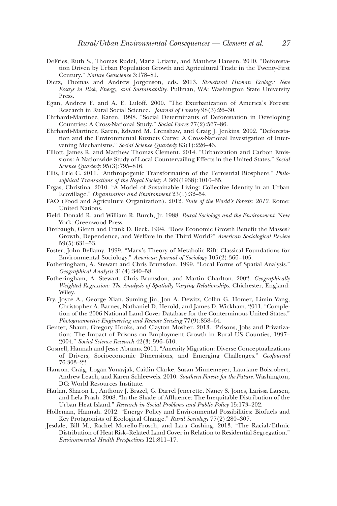- DeFries, Ruth S., Thomas Rudel, Maria Uriarte, and Matthew Hansen. 2010. "Deforestation Driven by Urban Population Growth and Agricultural Trade in the Twenty-First Century." *Nature Geoscience* 3:178–81.
- Dietz, Thomas and Andrew Jorgenson, eds. 2013. *Structural Human Ecology: New Essays in Risk, Energy, and Sustainability*. Pullman, WA: Washington State University Press.
- Egan, Andrew F. and A. E. Luloff. 2000. "The Exurbanization of America's Forests: Research in Rural Social Science." *Journal of Forestry* 98(3):26–30.
- Ehrhardt-Martinez, Karen. 1998. "Social Determinants of Deforestation in Developing Countries: A Cross-National Study." *Social Forces* 77(2):567–86.
- Ehrhardt-Martinez, Karen, Edward M. Crenshaw, and Craig J. Jenkins. 2002. "Deforestation and the Environmental Kuznets Curve: A Cross-National Investigation of Intervening Mechanisms." *Social Science Quarterly* 83(1):226–43.
- Elliott, James R. and Matthew Thomas Clement. 2014. "Urbanization and Carbon Emissions: A Nationwide Study of Local Countervailing Effects in the United States." *Social Science Quarterly* 95(3):795–816.
- Ellis, Erle C. 2011. "Anthropogenic Transformation of the Terrestrial Biosphere." *Philosophical Transactions of the Royal Society A* 369(1938):1010–35.
- Ergas, Christina. 2010. "A Model of Sustainable Living: Collective Identity in an Urban Ecovillage." *Organization and Environment* 23(1):32–54.
- FAO (Food and Agriculture Organization). 2012. *State of the World's Forests: 2012*. Rome: United Nations.
- Field, Donald R. and William R. Burch, Jr. 1988. *Rural Sociology and the Environment*. New York: Greenwood Press.
- Firebaugh, Glenn and Frank D. Beck. 1994. "Does Economic Growth Benefit the Masses? Growth, Dependence, and Welfare in the Third World?" *American Sociological Review* 59(5):631–53.
- Foster, John Bellamy. 1999. "Marx's Theory of Metabolic Rift: Classical Foundations for Environmental Sociology." *American Journal of Sociology* 105(2):366–405.
- Fotheringham, A. Stewart and Chris Brunsdon. 1999. "Local Forms of Spatial Analysis." *Geographical Analysis* 31(4):340–58.
- Fotheringham, A. Stewart, Chris Brunsdon, and Martin Charlton. 2002. *Geographically Weighted Regression: The Analysis of Spatially Varying Relationships*. Chichester, England: Wiley.
- Fry, Joyce A., George Xian, Suming Jin, Jon A. Dewitz, Collin G. Homer, Limin Yang, Christopher A. Barnes, Nathaniel D. Herold, and James D. Wickham. 2011. "Completion of the 2006 National Land Cover Database for the Conterminous United States." *Photogrammetric Engineering and Remote Sensing* 77(9):858–64.
- Genter, Shaun, Gregory Hooks, and Clayton Mosher. 2013. "Prisons, Jobs and Privatization: The Impact of Prisons on Employment Growth in Rural US Counties, 1997– 2004." *Social Science Research* 42(3):596–610.
- Gosnell, Hannah and Jesse Abrams. 2011. "Amenity Migration: Diverse Conceptualizations of Drivers, Socioeconomic Dimensions, and Emerging Challenges." *GeoJournal* 76:303–22.
- Hanson, Craig, Logan Yonavjak, Caitlin Clarke, Susan Minnemeyer, Lauriane Boisrobert, Andrew Leach, and Karen Schleeweis. 2010. *Southern Forests for the Future*. Washington, DC: World Resources Institute.
- Harlan, Sharon L., Anthony J. Brazel, G. Darrel Jenerette, Nancy S. Jones, Larissa Larsen, and Lela Prash. 2008. "In the Shade of Affluence: The Inequitable Distribution of the Urban Heat Island." *Research in Social Problems and Public Policy* 15:173–202.
- Holleman, Hannah. 2012. "Energy Policy and Environmental Possibilities: Biofuels and Key Protagonists of Ecological Change." *Rural Sociology* 77(2):280–307.
- Jesdale, Bill M., Rachel Morello-Frosch, and Lara Cushing. 2013. "The Racial/Ethnic Distribution of Heat Risk–Related Land Cover in Relation to Residential Segregation." *Environmental Health Perspectives* 121:811–17.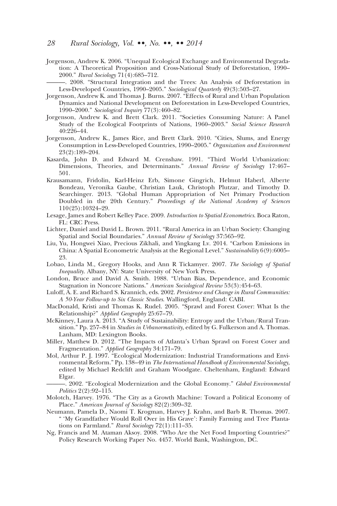Jorgenson, Andrew K. 2006. "Unequal Ecological Exchange and Environmental Degradation: A Theoretical Proposition and Cross-National Study of Deforestation, 1990– 2000." *Rural Sociology* 71(4):685–712.

———. 2008. "Structural Integration and the Trees: An Analysis of Deforestation in Less-Developed Countries, 1990–2005." *Sociological Quarterly* 49(3):503–27.

- Jorgenson, Andrew K. and Thomas J. Burns. 2007. "Effects of Rural and Urban Population Dynamics and National Development on Deforestation in Less-Developed Countries, 1990–2000." *Sociological Inquiry* 77(3):460–82.
- Jorgenson, Andrew K. and Brett Clark. 2011. "Societies Consuming Nature: A Panel Study of the Ecological Footprints of Nations, 1960–2003." *Social Science Research* 40:226–44.
- Jorgenson, Andrew K., James Rice, and Brett Clark. 2010. "Cities, Slums, and Energy Consumption in Less-Developed Countries, 1990–2005." *Organization and Environment* 23(2):189–204.
- Kasarda, John D. and Edward M. Crenshaw. 1991. "Third World Urbanization: Dimensions, Theories, and Determinants." *Annual Review of Sociology* 17:467– 501.
- Krausamann, Fridolin, Karl-Heinz Erb, Simone Gingrich, Helmut Haberl, Alberte Bondeau, Veronika Gaube, Christian Lauk, Christoph Plutzar, and Timothy D. Searchinger. 2013. "Global Human Appropriation of Net Primary Production Doubled in the 20th Century." *Proceedings of the National Academy of Sciences* 110(25):10324–29.
- Lesage, James and Robert Kelley Pace. 2009. *Introduction to Spatial Econometrics*. Boca Raton, FL: CRC Press.
- Lichter, Daniel and David L. Brown. 2011. "Rural America in an Urban Society: Changing Spatial and Social Boundaries." *Annual Review of Sociology* 37:565–92.
- Liu, Yu, Hongwei Xiao, Precious Zikhali, and Yingkang Lv. 2014. "Carbon Emissions in China: A Spatial Econometric Analysis at the Regional Level." *Sustainability* 6(9):6005– 23.
- Lobao, Linda M., Gregory Hooks, and Ann R Tickamyer. 2007. *The Sociology of Spatial Inequality*. Albany, NY: State University of New York Press.
- London, Bruce and David A. Smith. 1988. "Urban Bias, Dependence, and Economic Stagnation in Noncore Nations." *American Sociological Review* 53(3):454–63.
- Luloff, A. E. and Richard S. Krannich, eds. 2002. *Persistence and Change in Rural Communities: A 50-Year Follow-up to Six Classic Studies*. Wallingford, England: CABI.
- MacDonald, Kristi and Thomas K. Rudel. 2005. "Sprawl and Forest Cover: What Is the Relationship?" *Applied Geography* 25:67–79.
- McKinney, Laura A. 2013. "A Study of Sustainability: Entropy and the Urban/Rural Transition." Pp. 257–84 in *Studies in Urbanormativity*, edited by G. Fulkerson and A. Thomas. Lanham, MD: Lexington Books.
- Miller, Matthew D. 2012. "The Impacts of Atlanta's Urban Sprawl on Forest Cover and Fragmentation." *Applied Geography* 34:171–79.
- Mol, Arthur P. J. 1997. "Ecological Modernization: Industrial Transformations and Environmental Reform." Pp. 138–49 in *The International Handbook of Environmental Sociology*, edited by Michael Redclift and Graham Woodgate. Cheltenham, England: Edward Elgar.
	- ———. 2002. "Ecological Modernization and the Global Economy." *Global Environmental Politics* 2(2):92–115.
- Molotch, Harvey. 1976. "The City as a Growth Machine: Toward a Political Economy of Place." *American Journal of Sociology* 82(2):309–32.
- Neumann, Pamela D., Naomi T. Krogman, Harvey J. Krahn, and Barb R. Thomas. 2007. " 'My Grandfather Would Roll Over in His Grave': Family Farming and Tree Plantations on Farmland." *Rural Sociology* 72(1):111–35.
- Ng, Francis and M. Ataman Aksoy. 2008. "Who Are the Net Food Importing Countries?" Policy Research Working Paper No. 4457. World Bank, Washington, DC.